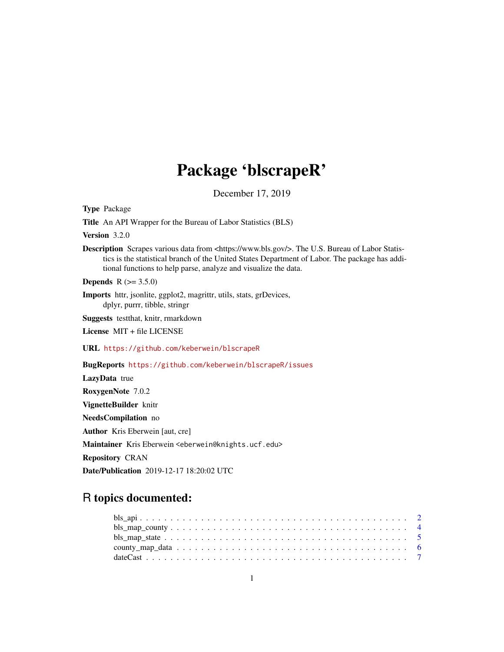# Package 'blscrapeR'

December 17, 2019

Type Package

Title An API Wrapper for the Bureau of Labor Statistics (BLS)

Version 3.2.0

Description Scrapes various data from <https://www.bls.gov/>. The U.S. Bureau of Labor Statistics is the statistical branch of the United States Department of Labor. The package has additional functions to help parse, analyze and visualize the data.

**Depends** R  $(>= 3.5.0)$ 

Imports httr, jsonlite, ggplot2, magrittr, utils, stats, grDevices, dplyr, purrr, tibble, stringr

Suggests testthat, knitr, rmarkdown

License MIT + file LICENSE

URL <https://github.com/keberwein/blscrapeR>

BugReports <https://github.com/keberwein/blscrapeR/issues>

LazyData true RoxygenNote 7.0.2 VignetteBuilder knitr NeedsCompilation no Author Kris Eberwein [aut, cre] Maintainer Kris Eberwein <eberwein@knights.ucf.edu> Repository CRAN Date/Publication 2019-12-17 18:20:02 UTC

# R topics documented: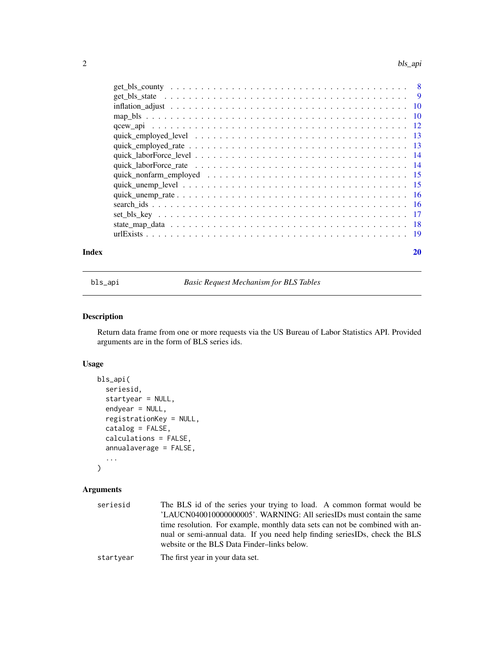<span id="page-1-0"></span>

| Index | 20 |
|-------|----|

bls\_api *Basic Request Mechanism for BLS Tables*

# Description

Return data frame from one or more requests via the US Bureau of Labor Statistics API. Provided arguments are in the form of BLS series ids.

# Usage

```
bls_api(
  seriesid,
  startyear = NULL,
  endyear = NULL,
  registrationKey = NULL,
  catalog = FALSE,
  calculations = FALSE,
  annualaverage = FALSE,
  ...
\mathcal{L}
```
# Arguments

| seriesid  | The BLS id of the series your trying to load. A common format would be<br>'LAUCN040010000000005'. WARNING: All seriesIDs must contain the same<br>time resolution. For example, monthly data sets can not be combined with an-<br>nual or semi-annual data. If you need help finding seriesIDs, check the BLS<br>website or the BLS Data Finder-links below. |
|-----------|--------------------------------------------------------------------------------------------------------------------------------------------------------------------------------------------------------------------------------------------------------------------------------------------------------------------------------------------------------------|
| startyear | The first year in your data set.                                                                                                                                                                                                                                                                                                                             |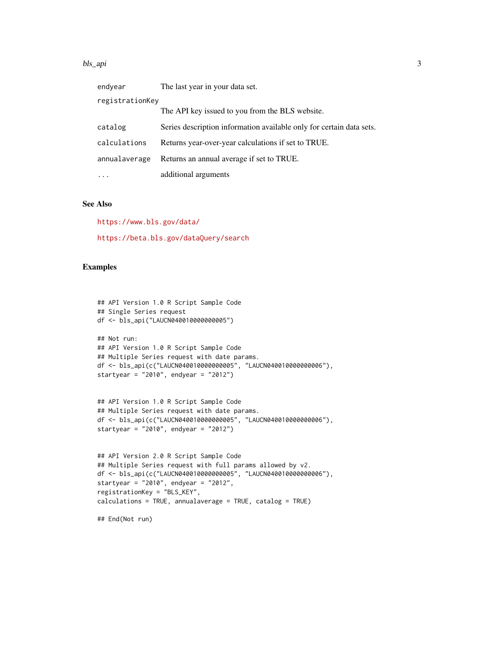#### bls\_api 3

| endyear         | The last year in your data set.                                      |
|-----------------|----------------------------------------------------------------------|
| registrationKey |                                                                      |
|                 | The API key issued to you from the BLS website.                      |
| catalog         | Series description information available only for certain data sets. |
| calculations    | Returns year-over-year calculations if set to TRUE.                  |
| annualaverage   | Returns an annual average if set to TRUE.                            |
| $\ddots$        | additional arguments                                                 |

# See Also

<https://www.bls.gov/data/> <https://beta.bls.gov/dataQuery/search>

# Examples

```
## API Version 1.0 R Script Sample Code
## Single Series request
df <- bls_api("LAUCN040010000000005")
## Not run:
## API Version 1.0 R Script Sample Code
## Multiple Series request with date params.
df <- bls_api(c("LAUCN040010000000005", "LAUCN040010000000006"),
startyear = "2010", endyear = "2012")
## API Version 1.0 R Script Sample Code
## Multiple Series request with date params.
df <- bls_api(c("LAUCN040010000000005", "LAUCN040010000000006"),
startyear = "2010", endyear = "2012")
## API Version 2.0 R Script Sample Code
## Multiple Series request with full params allowed by v2.
df <- bls_api(c("LAUCN040010000000005", "LAUCN040010000000006"),
startyear = "2010", endyear = "2012",
registrationKey = "BLS_KEY",
```
calculations = TRUE, annualaverage = TRUE, catalog = TRUE)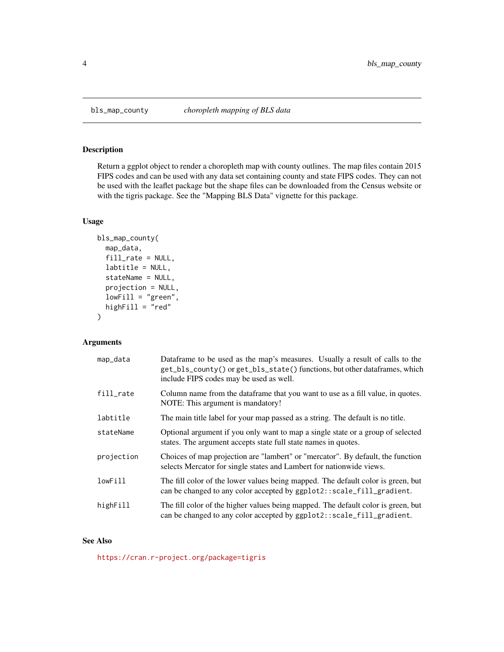<span id="page-3-0"></span>

Return a ggplot object to render a choropleth map with county outlines. The map files contain 2015 FIPS codes and can be used with any data set containing county and state FIPS codes. They can not be used with the leaflet package but the shape files can be downloaded from the Census website or with the tigris package. See the "Mapping BLS Data" vignette for this package.

# Usage

```
bls_map_county(
 map_data,
  fill_rate = NULL,
  labtitle = NULL,
  stateName = NULL,
  projection = NULL,
  lowFill = "green",highFill = "red"\mathcal{L}
```
# Arguments

| map_data   | Dataframe to be used as the map's measures. Usually a result of calls to the<br>get_bls_county() or get_bls_state() functions, but other dataframes, which<br>include FIPS codes may be used as well. |
|------------|-------------------------------------------------------------------------------------------------------------------------------------------------------------------------------------------------------|
| fill_rate  | Column name from the dataframe that you want to use as a fill value, in quotes.<br>NOTE: This argument is mandatory!                                                                                  |
| labtitle   | The main title label for your map passed as a string. The default is no title.                                                                                                                        |
| stateName  | Optional argument if you only want to map a single state or a group of selected<br>states. The argument accepts state full state names in quotes.                                                     |
| projection | Choices of map projection are "lambert" or "mercator". By default, the function<br>selects Mercator for single states and Lambert for nationwide views.                                               |
| lowFill    | The fill color of the lower values being mapped. The default color is green, but<br>can be changed to any color accepted by ggplot2::scale_fill_gradient.                                             |
| highFill   | The fill color of the higher values being mapped. The default color is green, but<br>can be changed to any color accepted by ggplot2::scale_fill_gradient.                                            |

# See Also

<https://cran.r-project.org/package=tigris>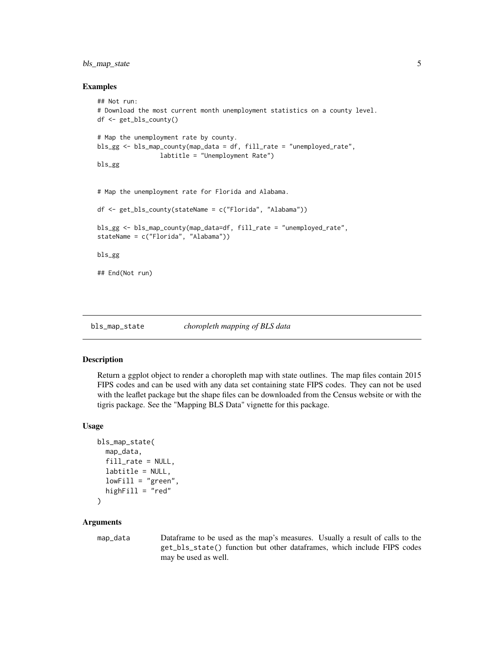# <span id="page-4-0"></span>bls\_map\_state 5

#### Examples

```
## Not run:
# Download the most current month unemployment statistics on a county level.
df <- get_bls_county()
# Map the unemployment rate by county.
bls_gg <- bls_map_county(map_data = df, fill_rate = "unemployed_rate",
                 labtitle = "Unemployment Rate")
bls_gg
# Map the unemployment rate for Florida and Alabama.
df <- get_bls_county(stateName = c("Florida", "Alabama"))
bls_gg <- bls_map_county(map_data=df, fill_rate = "unemployed_rate",
stateName = c("Florida", "Alabama"))
bls_gg
## End(Not run)
```
bls\_map\_state *choropleth mapping of BLS data*

#### Description

Return a ggplot object to render a choropleth map with state outlines. The map files contain 2015 FIPS codes and can be used with any data set containing state FIPS codes. They can not be used with the leaflet package but the shape files can be downloaded from the Census website or with the tigris package. See the "Mapping BLS Data" vignette for this package.

#### Usage

```
bls_map_state(
  map_data,
  fill_rate = NULL,
  labtitle = NULL,
  lowFill = "green".highFill = "red")
```
#### **Arguments**

map\_data Dataframe to be used as the map's measures. Usually a result of calls to the get\_bls\_state() function but other dataframes, which include FIPS codes may be used as well.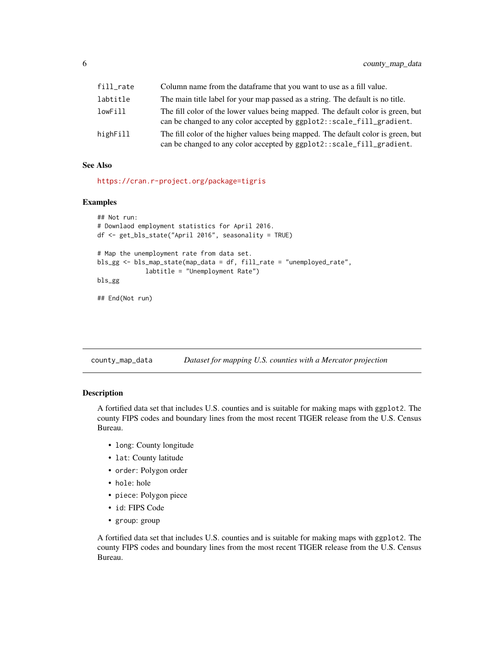<span id="page-5-0"></span>

| fill_rate | Column name from the dataframe that you want to use as a fill value.                                                                                       |
|-----------|------------------------------------------------------------------------------------------------------------------------------------------------------------|
| labtitle  | The main title label for your map passed as a string. The default is no title.                                                                             |
| lowFill   | The fill color of the lower values being mapped. The default color is green, but<br>can be changed to any color accepted by ggplot2::scale_fill_gradient.  |
| highFill  | The fill color of the higher values being mapped. The default color is green, but<br>can be changed to any color accepted by ggplot2::scale_fill_gradient. |

#### See Also

<https://cran.r-project.org/package=tigris>

#### Examples

```
## Not run:
# Downlaod employment statistics for April 2016.
df <- get_bls_state("April 2016", seasonality = TRUE)
# Map the unemployment rate from data set.
bls_gg <- bls_map_state(map_data = df, fill_rate = "unemployed_rate",
             labtitle = "Unemployment Rate")
bls_gg
## End(Not run)
```
county\_map\_data *Dataset for mapping U.S. counties with a Mercator projection*

# Description

A fortified data set that includes U.S. counties and is suitable for making maps with ggplot2. The county FIPS codes and boundary lines from the most recent TIGER release from the U.S. Census Bureau.

- long: County longitude
- lat: County latitude
- order: Polygon order
- hole: hole
- piece: Polygon piece
- id: FIPS Code
- group: group

A fortified data set that includes U.S. counties and is suitable for making maps with ggplot2. The county FIPS codes and boundary lines from the most recent TIGER release from the U.S. Census Bureau.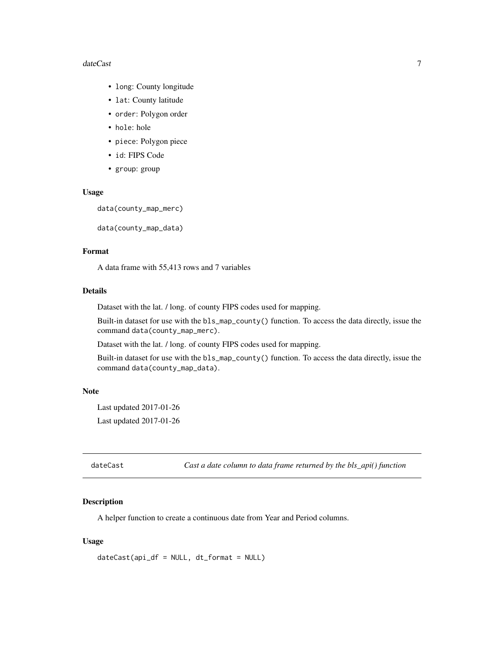#### <span id="page-6-0"></span>dateCast 7 and 3 and 3 and 3 and 3 and 3 and 3 and 3 and 3 and 3 and 3 and 3 and 3 and 3 and 3 and 3 and 3 and 3 and 3 and 3 and 3 and 3 and 3 and 3 and 3 and 3 and 3 and 3 and 3 and 3 and 3 and 3 and 3 and 3 and 3 and 3 a

- long: County longitude
- lat: County latitude
- order: Polygon order
- hole: hole
- piece: Polygon piece
- id: FIPS Code
- group: group

#### Usage

```
data(county_map_merc)
```

```
data(county_map_data)
```
# Format

A data frame with 55,413 rows and 7 variables

#### Details

Dataset with the lat. / long. of county FIPS codes used for mapping.

Built-in dataset for use with the bls\_map\_county() function. To access the data directly, issue the command data(county\_map\_merc).

Dataset with the lat. / long. of county FIPS codes used for mapping.

Built-in dataset for use with the bls\_map\_county() function. To access the data directly, issue the command data(county\_map\_data).

#### Note

Last updated 2017-01-26 Last updated 2017-01-26

dateCast *Cast a date column to data frame returned by the bls\_api() function*

# Description

A helper function to create a continuous date from Year and Period columns.

#### Usage

dateCast(api\_df = NULL, dt\_format = NULL)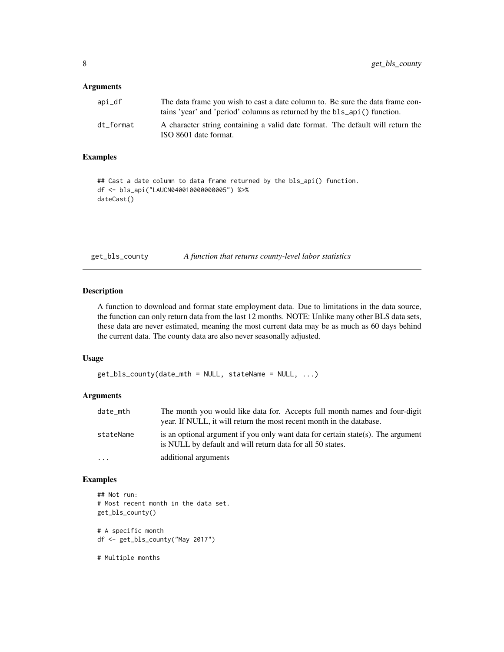# <span id="page-7-0"></span>Arguments

| api_df    | The data frame you wish to cast a date column to. Be sure the data frame con-<br>tains 'year' and 'period' columns as returned by the bls_api() function. |
|-----------|-----------------------------------------------------------------------------------------------------------------------------------------------------------|
| dt format | A character string containing a valid date format. The default will return the<br>ISO 8601 date format.                                                   |

# Examples

```
## Cast a date column to data frame returned by the bls_api() function.
df <- bls_api("LAUCN040010000000005") %>%
dateCast()
```
get\_bls\_county *A function that returns county-level labor statistics*

# Description

A function to download and format state employment data. Due to limitations in the data source, the function can only return data from the last 12 months. NOTE: Unlike many other BLS data sets, these data are never estimated, meaning the most current data may be as much as 60 days behind the current data. The county data are also never seasonally adjusted.

#### Usage

```
get\_bls\_county(data\_mth = NULL, stateName = NULL, ...)
```
#### Arguments

| date_mth  | The month you would like data for. Accepts full month names and four-digit<br>year. If NULL, it will return the most recent month in the database. |
|-----------|----------------------------------------------------------------------------------------------------------------------------------------------------|
| stateName | is an optional argument if you only want data for certain state(s). The argument<br>is NULL by default and will return data for all 50 states.     |
| .         | additional arguments                                                                                                                               |

# Examples

```
## Not run:
# Most recent month in the data set.
get_bls_county()
# A specific month
df <- get_bls_county("May 2017")
```
# Multiple months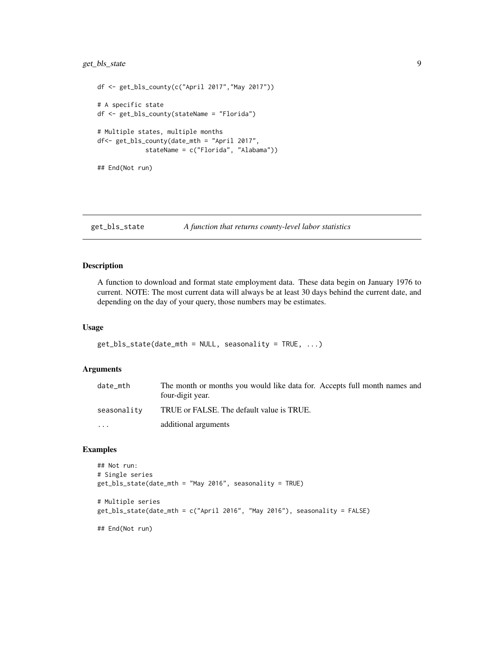# <span id="page-8-0"></span>get\_bls\_state 9

```
df <- get_bls_county(c("April 2017","May 2017"))
# A specific state
df <- get_bls_county(stateName = "Florida")
# Multiple states, multiple months
df<- get_bls_county(date_mth = "April 2017",
             stateName = c("Florida", "Alabama"))
## End(Not run)
```
get\_bls\_state *A function that returns county-level labor statistics*

# Description

A function to download and format state employment data. These data begin on January 1976 to current. NOTE: The most current data will always be at least 30 days behind the current date, and depending on the day of your query, those numbers may be estimates.

#### Usage

```
get_bls_state(date_mth = NULL, seasonality = TRUE, ...)
```
#### Arguments

| date_mth    | The month or months you would like data for. Accepts full month names and<br>four-digit year. |
|-------------|-----------------------------------------------------------------------------------------------|
| seasonality | TRUE or FALSE. The default value is TRUE.                                                     |
| $\cdots$    | additional arguments                                                                          |

# Examples

```
## Not run:
# Single series
get_bls_state(date_mth = "May 2016", seasonality = TRUE)
# Multiple series
get_bls_state(date_mth = c("April 2016", "May 2016"), seasonality = FALSE)
## End(Not run)
```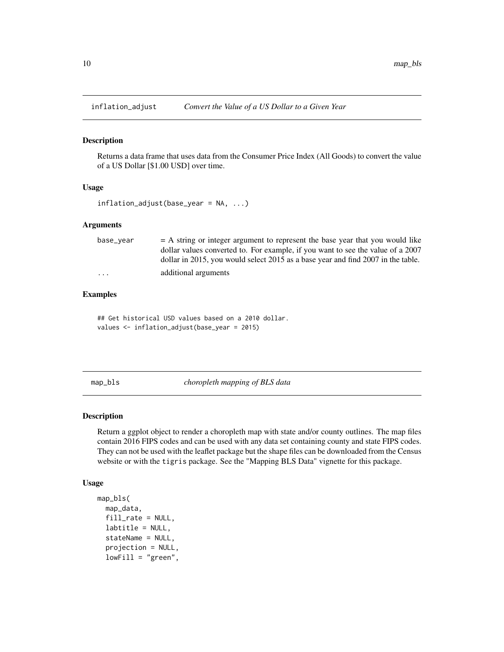<span id="page-9-0"></span>

Returns a data frame that uses data from the Consumer Price Index (All Goods) to convert the value of a US Dollar [\$1.00 USD] over time.

#### Usage

inflation\_adjust(base\_year = NA, ...)

#### **Arguments**

| base_year | $=$ A string or integer argument to represent the base year that you would like  |
|-----------|----------------------------------------------------------------------------------|
|           | dollar values converted to. For example, if you want to see the value of a 2007  |
|           | dollar in 2015, you would select 2015 as a base year and find 2007 in the table. |
| $\cdot$   | additional arguments                                                             |

# Examples

## Get historical USD values based on a 2010 dollar. values <- inflation\_adjust(base\_year = 2015)

map\_bls *choropleth mapping of BLS data*

# Description

Return a ggplot object to render a choropleth map with state and/or county outlines. The map files contain 2016 FIPS codes and can be used with any data set containing county and state FIPS codes. They can not be used with the leaflet package but the shape files can be downloaded from the Census website or with the tigris package. See the "Mapping BLS Data" vignette for this package.

#### Usage

```
map_bls(
  map_data,
  fill_rate = NULL,
  labtitle = NULL,
  stateName = NULL,
  projection = NULL,
  lowFill = "green",
```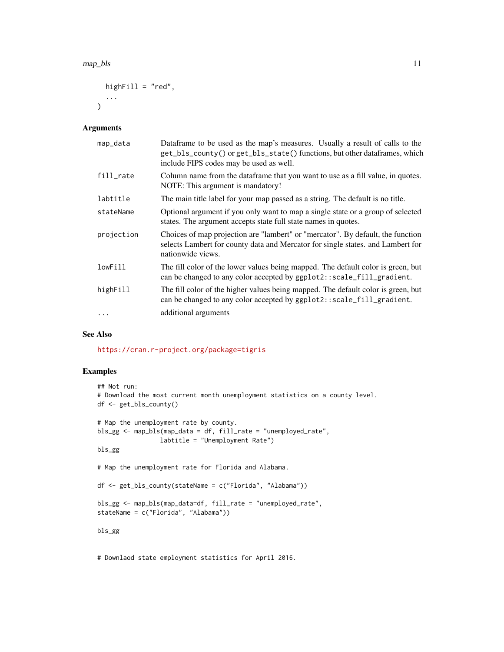```
highFill = "red",...
\lambda
```
#### Arguments

| map_data   | Dataframe to be used as the map's measures. Usually a result of calls to the<br>get_bls_county() or get_bls_state() functions, but other dataframes, which<br>include FIPS codes may be used as well. |
|------------|-------------------------------------------------------------------------------------------------------------------------------------------------------------------------------------------------------|
| fill_rate  | Column name from the dataframe that you want to use as a fill value, in quotes.<br>NOTE: This argument is mandatory!                                                                                  |
| labtitle   | The main title label for your map passed as a string. The default is no title.                                                                                                                        |
| stateName  | Optional argument if you only want to map a single state or a group of selected<br>states. The argument accepts state full state names in quotes.                                                     |
| projection | Choices of map projection are "lambert" or "mercator". By default, the function<br>selects Lambert for county data and Mercator for single states. and Lambert for<br>nationwide views.               |
| lowFill    | The fill color of the lower values being mapped. The default color is green, but<br>can be changed to any color accepted by ggplot2::scale_fill_gradient.                                             |
| highFill   | The fill color of the higher values being mapped. The default color is green, but<br>can be changed to any color accepted by ggplot2::scale_fill_gradient.                                            |
|            | additional arguments                                                                                                                                                                                  |

# See Also

<https://cran.r-project.org/package=tigris>

# Examples

```
## Not run:
# Download the most current month unemployment statistics on a county level.
df <- get_bls_county()
# Map the unemployment rate by county.
bls_gg <- map_bls(map_data = df, fill_rate = "unemployed_rate",
                 labtitle = "Unemployment Rate")
bls_gg
# Map the unemployment rate for Florida and Alabama.
df <- get_bls_county(stateName = c("Florida", "Alabama"))
bls_gg <- map_bls(map_data=df, fill_rate = "unemployed_rate",
stateName = c("Florida", "Alabama"))
bls_gg
```
# Downlaod state employment statistics for April 2016.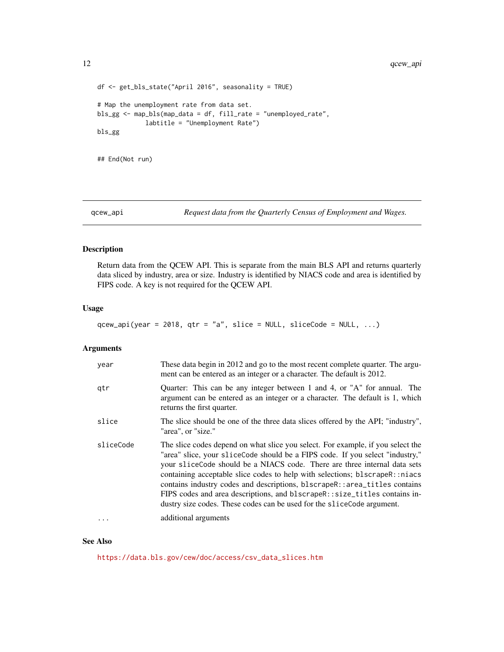```
df <- get_bls_state("April 2016", seasonality = TRUE)
# Map the unemployment rate from data set.
bls_gg <- map_bls(map_data = df, fill_rate = "unemployed_rate",
             labtitle = "Unemployment Rate")
bls_gg
```
## End(Not run)

qcew\_api *Request data from the Quarterly Census of Employment and Wages.*

# Description

Return data from the QCEW API. This is separate from the main BLS API and returns quarterly data sliced by industry, area or size. Industry is identified by NIACS code and area is identified by FIPS code. A key is not required for the QCEW API.

# Usage

```
qcew_api(year = 2018, qtr = "a", slice = NULL, sliceCode = NULL, ...)
```
# Arguments

| year      | These data begin in 2012 and go to the most recent complete quarter. The argu-<br>ment can be entered as an integer or a character. The default is 2012.                                                                                                                                                                                                                                                                                                                                                                                                          |
|-----------|-------------------------------------------------------------------------------------------------------------------------------------------------------------------------------------------------------------------------------------------------------------------------------------------------------------------------------------------------------------------------------------------------------------------------------------------------------------------------------------------------------------------------------------------------------------------|
| gtr       | Quarter: This can be any integer between 1 and 4, or "A" for annual. The<br>argument can be entered as an integer or a character. The default is 1, which<br>returns the first quarter.                                                                                                                                                                                                                                                                                                                                                                           |
| slice     | The slice should be one of the three data slices offered by the API; "industry",<br>"area", or "size."                                                                                                                                                                                                                                                                                                                                                                                                                                                            |
| sliceCode | The slice codes depend on what slice you select. For example, if you select the<br>"area" slice, your sliceCode should be a FIPS code. If you select "industry,"<br>your sliceCode should be a NIACS code. There are three internal data sets<br>containing acceptable slice codes to help with selections; blscrapeR::niacs<br>contains industry codes and descriptions, blscrapeR::area_titles contains<br>FIPS codes and area descriptions, and blscrapeR::size_titles contains in-<br>dustry size codes. These codes can be used for the slice Code argument. |
| $\ddotsc$ | additional arguments                                                                                                                                                                                                                                                                                                                                                                                                                                                                                                                                              |

#### See Also

[https://data.bls.gov/cew/doc/access/csv\\_data\\_slices.htm](https://data.bls.gov/cew/doc/access/csv_data_slices.htm)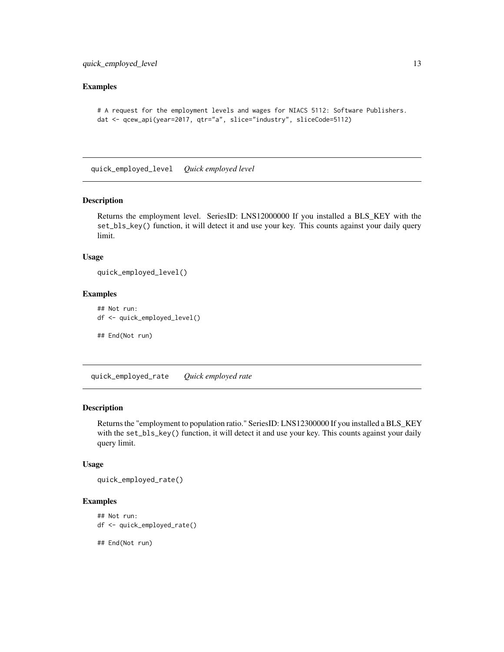# <span id="page-12-0"></span>Examples

```
# A request for the employment levels and wages for NIACS 5112: Software Publishers.
dat <- qcew_api(year=2017, qtr="a", slice="industry", sliceCode=5112)
```
quick\_employed\_level *Quick employed level*

# Description

Returns the employment level. SeriesID: LNS12000000 If you installed a BLS\_KEY with the set\_bls\_key() function, it will detect it and use your key. This counts against your daily query limit.

# Usage

```
quick_employed_level()
```
# Examples

```
## Not run:
df <- quick_employed_level()
## End(Not run)
```
quick\_employed\_rate *Quick employed rate*

# Description

Returns the "employment to population ratio." SeriesID: LNS12300000 If you installed a BLS\_KEY with the set\_bls\_key() function, it will detect it and use your key. This counts against your daily query limit.

#### Usage

```
quick_employed_rate()
```
#### Examples

```
## Not run:
df <- quick_employed_rate()
```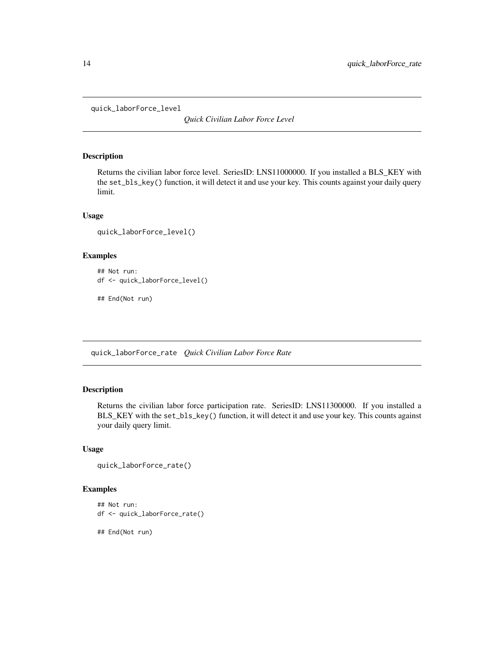<span id="page-13-0"></span>quick\_laborForce\_level

*Quick Civilian Labor Force Level*

#### Description

Returns the civilian labor force level. SeriesID: LNS11000000. If you installed a BLS\_KEY with the set\_bls\_key() function, it will detect it and use your key. This counts against your daily query limit.

# Usage

```
quick_laborForce_level()
```
#### Examples

```
## Not run:
df <- quick_laborForce_level()
```
## End(Not run)

quick\_laborForce\_rate *Quick Civilian Labor Force Rate*

# Description

Returns the civilian labor force participation rate. SeriesID: LNS11300000. If you installed a BLS\_KEY with the set\_bls\_key() function, it will detect it and use your key. This counts against your daily query limit.

# Usage

```
quick_laborForce_rate()
```
# Examples

```
## Not run:
df <- quick_laborForce_rate()
```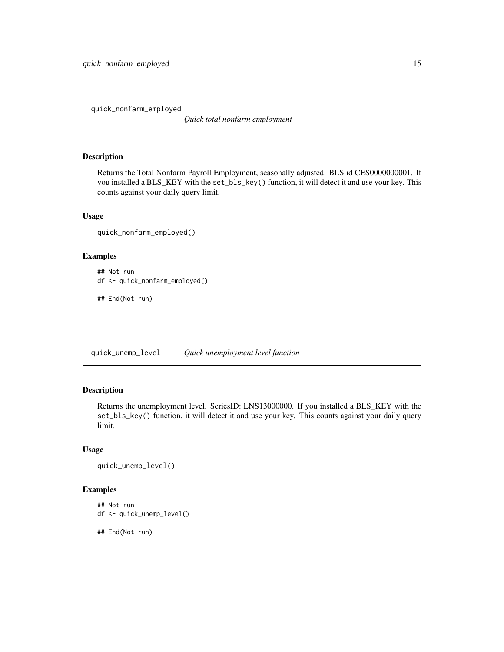<span id="page-14-0"></span>quick\_nonfarm\_employed

*Quick total nonfarm employment*

#### Description

Returns the Total Nonfarm Payroll Employment, seasonally adjusted. BLS id CES0000000001. If you installed a BLS\_KEY with the set\_bls\_key() function, it will detect it and use your key. This counts against your daily query limit.

# Usage

quick\_nonfarm\_employed()

#### Examples

```
## Not run:
df <- quick_nonfarm_employed()
```
## End(Not run)

quick\_unemp\_level *Quick unemployment level function*

# Description

Returns the unemployment level. SeriesID: LNS13000000. If you installed a BLS\_KEY with the set\_bls\_key() function, it will detect it and use your key. This counts against your daily query limit.

# Usage

```
quick_unemp_level()
```
# Examples

```
## Not run:
df <- quick_unemp_level()
```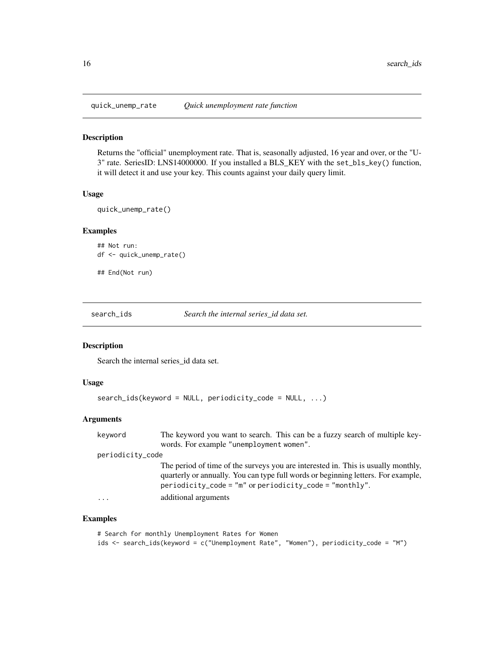<span id="page-15-0"></span>

Returns the "official" unemployment rate. That is, seasonally adjusted, 16 year and over, or the "U-3" rate. SeriesID: LNS14000000. If you installed a BLS\_KEY with the set\_bls\_key() function, it will detect it and use your key. This counts against your daily query limit.

# Usage

quick\_unemp\_rate()

# Examples

```
## Not run:
df <- quick_unemp_rate()
## End(Not run)
```
search\_ids *Search the internal series\_id data set.*

#### Description

Search the internal series\_id data set.

#### Usage

```
search_ids(keyword = NULL, periodicity_code = NULL, ...)
```
# Arguments

| keyword          | The keyword you want to search. This can be a fuzzy search of multiple key-                                                                                                                                                            |
|------------------|----------------------------------------------------------------------------------------------------------------------------------------------------------------------------------------------------------------------------------------|
|                  | words. For example "unemployment women".                                                                                                                                                                                               |
| periodicity_code |                                                                                                                                                                                                                                        |
|                  | The period of time of the surveys you are interested in. This is usually monthly,<br>quarterly or annually. You can type full words or beginning letters. For example,<br>$periodicity\_{code} = "m"$ or periodicity_code = "monthly". |
| $\cdots$         | additional arguments                                                                                                                                                                                                                   |

# Examples

```
# Search for monthly Unemployment Rates for Women
ids <- search_ids(keyword = c("Unemployment Rate", "Women"), periodicity_code = "M")
```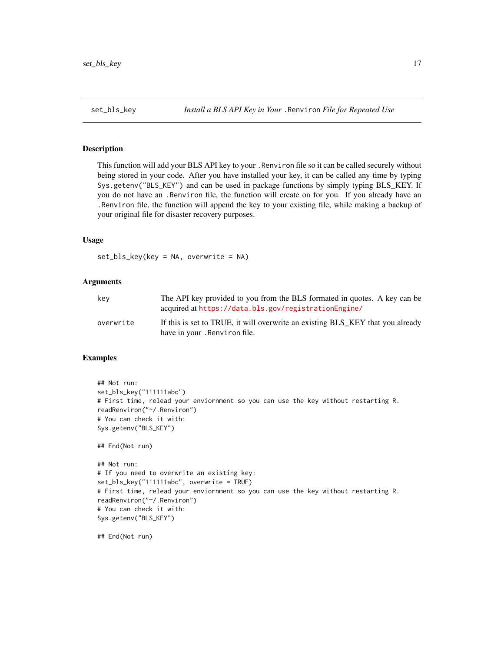<span id="page-16-0"></span>

This function will add your BLS API key to your .Renviron file so it can be called securely without being stored in your code. After you have installed your key, it can be called any time by typing Sys.getenv("BLS\_KEY") and can be used in package functions by simply typing BLS\_KEY. If you do not have an .Renviron file, the function will create on for you. If you already have an .Renviron file, the function will append the key to your existing file, while making a backup of your original file for disaster recovery purposes.

# Usage

set\_bls\_key(key = NA, overwrite = NA)

#### Arguments

| kev       | The API key provided to you from the BLS formated in quotes. A key can be<br>acquired at https://data.bls.gov/registrationEngine/ |
|-----------|-----------------------------------------------------------------------------------------------------------------------------------|
| overwrite | If this is set to TRUE, it will overwrite an existing BLS_KEY that you already<br>have in your. Renviron file.                    |

# Examples

```
## Not run:
set_bls_key("111111abc")
# First time, relead your enviornment so you can use the key without restarting R.
readRenviron("~/.Renviron")
# You can check it with:
Sys.getenv("BLS_KEY")
## End(Not run)
## Not run:
# If you need to overwrite an existing key:
set_bls_key("111111abc", overwrite = TRUE)
# First time, relead your enviornment so you can use the key without restarting R.
readRenviron("~/.Renviron")
# You can check it with:
Sys.getenv("BLS_KEY")
```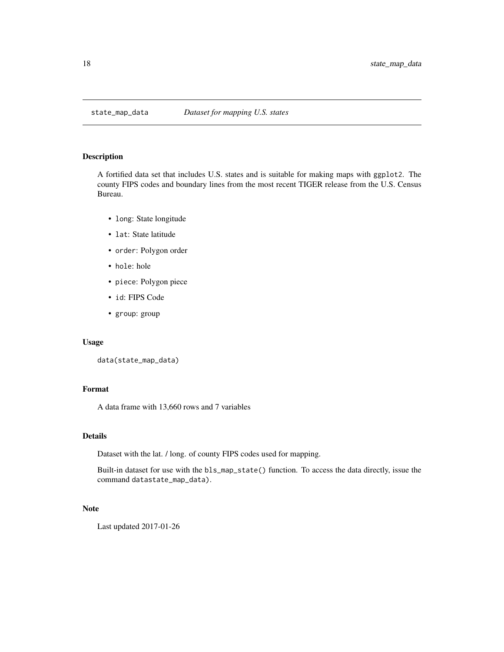<span id="page-17-0"></span>

A fortified data set that includes U.S. states and is suitable for making maps with ggplot2. The county FIPS codes and boundary lines from the most recent TIGER release from the U.S. Census Bureau.

- long: State longitude
- lat: State latitude
- order: Polygon order
- hole: hole
- piece: Polygon piece
- id: FIPS Code
- group: group

#### Usage

```
data(state_map_data)
```
# Format

A data frame with 13,660 rows and 7 variables

# Details

Dataset with the lat. / long. of county FIPS codes used for mapping.

Built-in dataset for use with the bls\_map\_state() function. To access the data directly, issue the command datastate\_map\_data).

# Note

Last updated 2017-01-26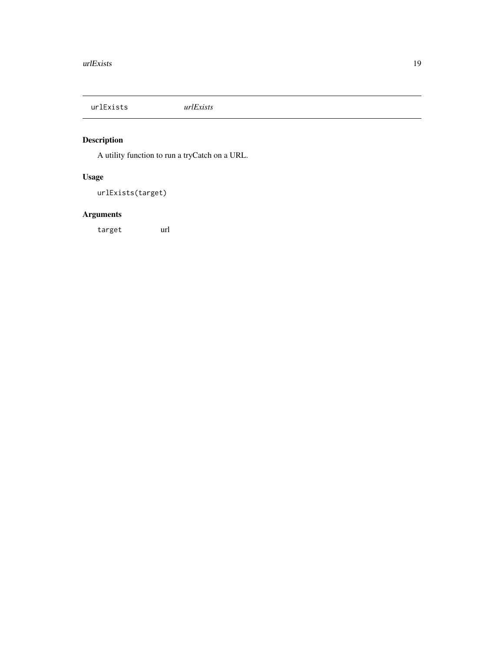<span id="page-18-0"></span>urlExists *urlExists*

# Description

A utility function to run a tryCatch on a URL.

# Usage

urlExists(target)

# Arguments

target url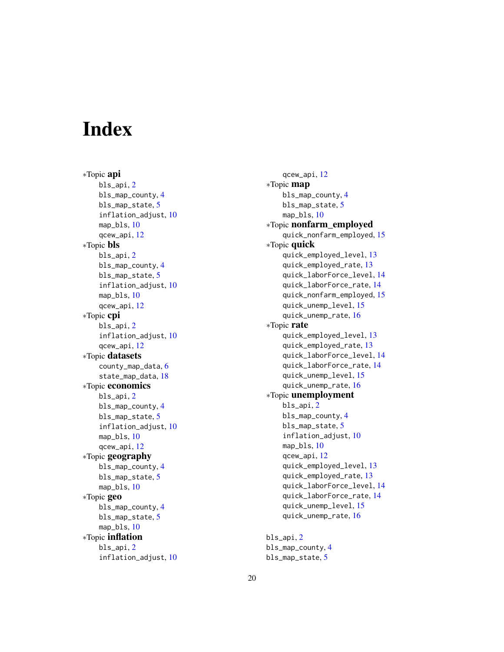# <span id="page-19-0"></span>**Index**

∗Topic api bls\_api, [2](#page-1-0) bls\_map\_county, [4](#page-3-0) bls\_map\_state, [5](#page-4-0) inflation\_adjust, [10](#page-9-0) map\_bls, [10](#page-9-0) qcew\_api, [12](#page-11-0) ∗Topic bls bls\_api, [2](#page-1-0) bls\_map\_county, [4](#page-3-0) bls\_map\_state, [5](#page-4-0) inflation\_adjust, [10](#page-9-0) map\_bls, [10](#page-9-0) qcew\_api, [12](#page-11-0) ∗Topic cpi bls\_api, [2](#page-1-0) inflation\_adjust, [10](#page-9-0) qcew\_api, [12](#page-11-0) ∗Topic datasets county\_map\_data, [6](#page-5-0) state\_map\_data, [18](#page-17-0) ∗Topic economics bls\_api, [2](#page-1-0) bls\_map\_county, [4](#page-3-0) bls\_map\_state, [5](#page-4-0) inflation\_adjust, [10](#page-9-0) map\_bls, [10](#page-9-0) qcew\_api, [12](#page-11-0) ∗Topic geography bls\_map\_county, [4](#page-3-0) bls\_map\_state, [5](#page-4-0) map\_bls, [10](#page-9-0) ∗Topic geo bls\_map\_county, [4](#page-3-0) bls\_map\_state, [5](#page-4-0) map\_bls, [10](#page-9-0) ∗Topic inflation bls\_api, [2](#page-1-0) inflation\_adjust, [10](#page-9-0)

qcew\_api, [12](#page-11-0) ∗Topic map bls\_map\_county, [4](#page-3-0) bls\_map\_state, [5](#page-4-0) map\_bls, [10](#page-9-0) ∗Topic nonfarm\_employed quick\_nonfarm\_employed, [15](#page-14-0) ∗Topic quick quick\_employed\_level, [13](#page-12-0) quick\_employed\_rate, [13](#page-12-0) quick\_laborForce\_level, [14](#page-13-0) quick\_laborForce\_rate, [14](#page-13-0) quick\_nonfarm\_employed, [15](#page-14-0) quick\_unemp\_level, [15](#page-14-0) quick\_unemp\_rate, [16](#page-15-0) ∗Topic rate quick\_employed\_level, [13](#page-12-0) quick\_employed\_rate, [13](#page-12-0) quick\_laborForce\_level, [14](#page-13-0) quick\_laborForce\_rate, [14](#page-13-0) quick\_unemp\_level, [15](#page-14-0) quick\_unemp\_rate, [16](#page-15-0) ∗Topic unemployment bls\_api, [2](#page-1-0) bls\_map\_county, [4](#page-3-0) bls\_map\_state, [5](#page-4-0) inflation\_adjust, [10](#page-9-0) map\_bls, [10](#page-9-0) qcew\_api, [12](#page-11-0) quick\_employed\_level, [13](#page-12-0) quick\_employed\_rate, [13](#page-12-0) quick\_laborForce\_level, [14](#page-13-0) quick\_laborForce\_rate, [14](#page-13-0) quick\_unemp\_level, [15](#page-14-0) quick\_unemp\_rate, [16](#page-15-0) bls\_api, [2](#page-1-0)

```
bls_map_county, 4
bls_map_state, 5
```